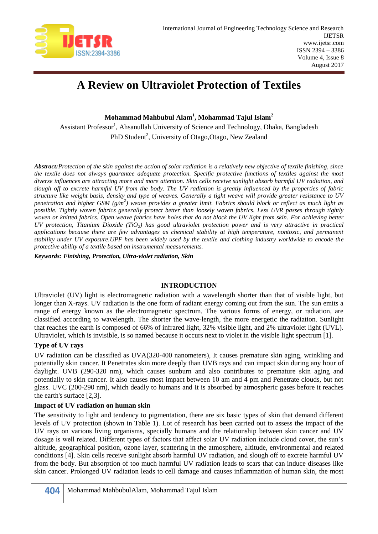

# **A Review on Ultraviolet Protection of Textiles**

**Mohammad Mahbubul Alam<sup>1</sup> , Mohammad Tajul Islam<sup>2</sup>**

Assistant Professor<sup>1</sup>, Ahsanullah University of Science and Technology, Dhaka, Bangladesh PhD Student<sup>2</sup>, University of Otago, Otago, New Zealand

*Abstract:Protection of the skin against the action of solar radiation is a relatively new objective of textile finishing, since the textile does not always guarantee adequate protection. Specific protective functions of textiles against the most diverse influences are attracting more and more attention. Skin cells receive sunlight absorb harmful UV radiation, and slough off to excrete harmful UV from the body. The UV radiation is greatly influenced by the properties of fabric structure like weight basis, density and type of weaves. Generally a tight weave will provide greater resistance to UV penetration and higher GSM (g/m<sup>2</sup> ) weave provides a greater limit. Fabrics should block or reflect as much light as possible. Tightly woven fabrics generally protect better than loosely woven fabrics. Less UVR passes through tightly woven or knitted fabrics. Open weave fabrics have holes that do not block the UV light from skin. For achieving better UV protection, Titanium Dioxide (TiO2) has good ultraviolet protection power and is very attractive in practical applications because there are few advantages as chemical stability at high temperature, nontoxic, and permanent stability under UV exposure.UPF has been widely used by the textile and clothing industry worldwide to encode the protective ability of a textile based on instrumental measurements.*

*Keywords: Finishing, Protection, Ultra-violet radiation, Skin*

#### **INTRODUCTION**

Ultraviolet (UV) light is electromagnetic radiation with a wavelength shorter than that of visible light, but longer than X-rays. UV radiation is the one form of radiant energy coming out from the sun. The sun emits a range of energy known as the electromagnetic spectrum. The various forms of energy, or radiation, are classified according to wavelength. The shorter the wave-length, the more energetic the radiation. Sunlight that reaches the earth is composed of 66% of infrared light, 32% visible light, and 2% ultraviolet light (UVL). Ultraviolet, which is invisible, is so named because it occurs next to violet in the visible light spectrum [1].

## **Type of UV rays**

UV radiation can be classified as UVA(320-400 nanometers), It causes premature skin aging, wrinkling and potentially skin cancer. It Penetrates skin more deeply than UVB rays and can impact skin during any hour of daylight. UVB (290-320 nm), which causes sunburn and also contributes to premature skin aging and potentially to skin cancer. It also causes most impact between 10 am and 4 pm and Penetrate clouds, but not glass. UVC (200-290 nm), which deadly to humans and It is absorbed by atmospheric gases before it reaches the earth's surface [2,3].

## **Impact of UV radiation on human skin**

The sensitivity to light and tendency to pigmentation, there are six basic types of skin that demand different levels of UV protection (shown in Table 1). Lot of research has been carried out to assess the impact of the UV rays on various living organisms, specially humans and the relationship between skin cancer and UV dosage is well related. Different types of factors that affect solar UV radiation include cloud cover, the sun's altitude, geographical position, ozone layer, scattering in the atmosphere, altitude, environmental and related conditions [4]. Skin cells receive sunlight absorb harmful UV radiation, and slough off to excrete harmful UV from the body. But absorption of too much harmful UV radiation leads to scars that can induce diseases like skin cancer. Prolonged UV radiation leads to cell damage and causes inflammation of human skin, the most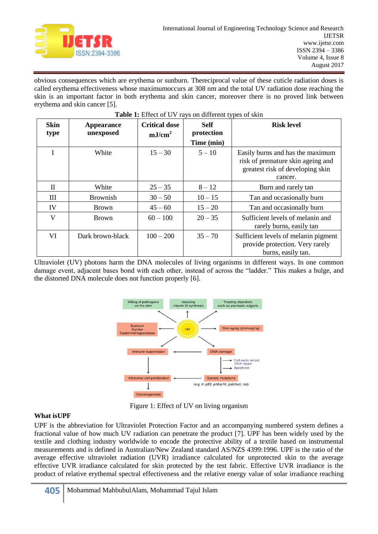

obvious consequences which are erythema or sunburn. Thereciprocal value of these cuticle radiation doses is called erythema effectiveness whose maximumoccurs at 308 nm and the total UV radiation dose reaching the skin is an important factor in both erythema and skin cancer, moreover there is no proved link between erythema and skin cancer [5].

| <b>Skin</b><br>type | Appearance<br>unexposed | <b>Critical dose</b><br>mJ/cm <sup>2</sup> | <b>Self</b><br>protection<br>Time (min) | <b>Risk level</b>                                                                                                    |
|---------------------|-------------------------|--------------------------------------------|-----------------------------------------|----------------------------------------------------------------------------------------------------------------------|
| I                   | White                   | $15 - 30$                                  | $5 - 10$                                | Easily burns and has the maximum<br>risk of premature skin ageing and<br>greatest risk of developing skin<br>cancer. |
| П                   | White                   | $25 - 35$                                  | $8 - 12$                                | Burn and rarely tan                                                                                                  |
| Ш                   | <b>Brownish</b>         | $30 - 50$                                  | $10 - 15$                               | Tan and occasionally burn                                                                                            |
| IV                  | <b>Brown</b>            | $45 - 60$                                  | $15 - 20$                               | Tan and occasionally burn                                                                                            |
| V                   | Brown                   | $60 - 100$                                 | $20 - 35$                               | Sufficient levels of melanin and<br>rarely burns, easily tan                                                         |
| VI                  | Dark brown-black        | $100 - 200$                                | $35 - 70$                               | Sufficient levels of melanin pigment<br>provide protection. Very rarely<br>burns, easily tan.                        |

#### **Table 1:** Effect of UV rays on different types of skin

Ultraviolet (UV) photons harm the DNA molecules of living organisms in different ways. In one common damage event, adjacent bases bond with each other, instead of across the "ladder." This makes a bulge, and the distorted DNA molecule does not function properly [6].



Figure 1: Effect of UV on living organism

## **What isUPF**

UPF is the abbreviation for Ultraviolet Protection Factor and an accompanying numbered system defines a fractional value of how much UV radiation can penetrate the product [7]. UPF has been widely used by the textile and clothing industry worldwide to encode the protective ability of a textile based on instrumental measurements and is defined in Australian/New Zealand standard AS/NZS 4399:1996. UPF is the ratio of the average effective ultraviolet radiation (UVR) irradiance calculated for unprotected skin to the average effective UVR irradiance calculated for skin protected by the test fabric. Effective UVR irradiance is the product of relative erythemal spectral effectiveness and the relative energy value of solar irradiance reaching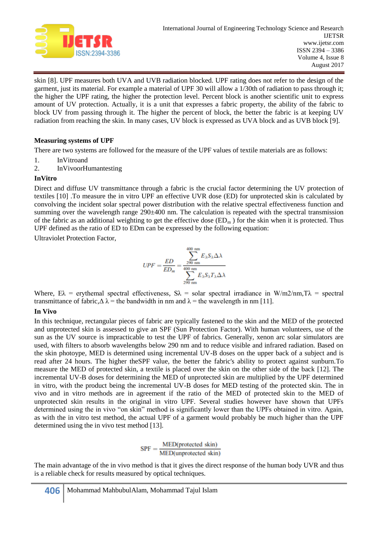

skin [8]. UPF measures both UVA and UVB radiation blocked. UPF rating does not refer to the design of the garment, just its material. For example a material of UPF 30 will allow a 1/30th of radiation to pass through it; the higher the UPF rating, the higher the protection level. Percent block is another scientific unit to express amount of UV protection. Actually, it is a unit that expresses a fabric property, the ability of the fabric to block UV from passing through it. The higher the percent of block, the better the fabric is at keeping UV radiation from reaching the skin. In many cases, UV block is expressed as UVA block and as UVB block [9].

### **Measuring systems of UPF**

There are two systems are followed for the measure of the UPF values of textile materials are as follows:

- 1. InVitroand
- 2. InVivoorHumantesting

## **InVitro**

Direct and diffuse UV transmittance through a fabric is the crucial factor determining the UV protection of textiles [10] .To measure the in vitro UPF an effective UVR dose (ED) for unprotected skin is calculated by convolving the incident solar spectral power distribution with the relative spectral effectiveness function and summing over the wavelength range 290±400 nm. The calculation is repeated with the spectral transmission of the fabric as an additional weighting to get the effective dose  $(ED_m)$  for the skin when it is protected. Thus UPF defined as the ratio of ED to EDm can be expressed by the following equation:

Ultraviolet Protection Factor,

$$
UPF = \frac{ED}{ED_m} = \frac{\sum_{290 \text{ nm}}^{400 \text{ nm}} E_{\lambda} S_{\lambda} \Delta \lambda}{\sum_{290 \text{ nm}}^{400 \text{ nm}} E_{\lambda} S_{\lambda} T_{\lambda} \Delta \lambda}
$$

Where,  $E\lambda$  = erythemal spectral effectiveness,  $S\lambda$  = solar spectral irradiance in W/m2/nm,T $\lambda$  = spectral transmittance of fabric, $\Delta \lambda$  = the bandwidth in nm and  $\lambda$  = the wavelength in nm [11].

#### **In Vivo**

In this technique, rectangular pieces of fabric are typically fastened to the skin and the MED of the protected and unprotected skin is assessed to give an SPF (Sun Protection Factor). With human volunteers, use of the sun as the UV source is impracticable to test the UPF of fabrics. Generally, xenon arc solar simulators are used, with filters to absorb wavelengths below 290 nm and to reduce visible and infrared radiation. Based on the skin photoype, MED is determined using incremental UV-B doses on the upper back of a subject and is read after 24 hours. The higher theSPF value, the better the fabric's ability to protect against sunburn.To measure the MED of protected skin, a textile is placed over the skin on the other side of the back [12]. The incremental UV-B doses for determining the MED of unprotected skin are multiplied by the UPF determined in vitro, with the product being the incremental UV-B doses for MED testing of the protected skin. The in vivo and in vitro methods are in agreement if the ratio of the MED of protected skin to the MED of unprotected skin results in the original in vitro UPF. Several studies however have shown that UPFs determined using the in vivo "on skin" method is significantly lower than the UPFs obtained in vitro. Again, as with the in vitro test method, the actual UPF of a garment would probably be much higher than the UPF determined using the in vivo test method [13].

$$
SPF = \frac{MED(protected skin)}{MED(unprotected skin)}
$$

The main advantage of the in vivo method is that it gives the direct response of the human body UVR and thus is a reliable check for results measured by optical techniques.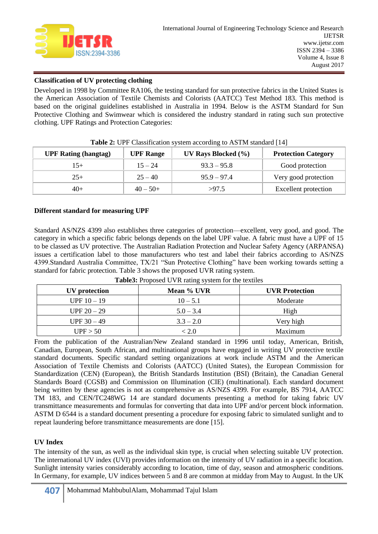

## **Classification of UV protecting clothing**

Developed in 1998 by Committee RA106, the testing standard for sun protective fabrics in the United States is the American Association of Textile Chemists and Colorists (AATCC) Test Method 183. This method is based on the original guidelines established in Australia in 1994. Below is the ASTM Standard for Sun Protective Clothing and Swimwear which is considered the industry standard in rating such sun protective clothing. UPF Ratings and Protection Categories:

| <b>UPF Rating (hangtag)</b> | <b>UPF</b> Range | UV Rays Blocked $(\% )$ | <b>Protection Category</b> |
|-----------------------------|------------------|-------------------------|----------------------------|
| $15+$                       | $15 - 24$        | $93.3 - 95.8$           | Good protection            |
| $25+$                       | $25 - 40$        | $95.9 - 97.4$           | Very good protection       |
| $40+$                       | $40 - 50 +$      | >97.5                   | Excellent protection       |

| Table 2: UPF Classification system according to ASTM standard [14] |
|--------------------------------------------------------------------|
|--------------------------------------------------------------------|

#### **Different standard for measuring UPF**

Standard AS/NZS 4399 also establishes three categories of protection—excellent, very good, and good. The category in which a specific fabric belongs depends on the label UPF value. A fabric must have a UPF of 15 to be classed as UV protective. The Australian Radiation Protection and Nuclear Safety Agency (ARPANSA) issues a certification label to those manufacturers who test and label their fabrics according to AS/NZS 4399.Standard Australia Committee, TX/21 "Sun Protective Clothing" have been working towards setting a standard for fabric protection. Table 3 shows the proposed UVR rating system.

| UV protection | Mean % UVR  | <b>UVR</b> Protection |
|---------------|-------------|-----------------------|
| $UPF 10 - 19$ | $10 - 5.1$  | Moderate              |
| $UPF 20 - 29$ | $5.0 - 3.4$ | High                  |
| UPF $30 - 49$ | $3.3 - 2.0$ | Very high             |
| UPF > 50      | < 2.0       | Maximum               |

**Table3:** Proposed UVR rating system for the textiles

From the publication of the Australian/New Zealand standard in 1996 until today, American, British, Canadian, European, South African, and multinational groups have engaged in writing UV protective textile standard documents. Specific standard setting organizations at work include ASTM and the American Association of Textile Chemists and Colorists (AATCC) (United States), the European Commission for Standardization (CEN) (European), the British Standards Institution (BSI) (Britain), the Canadian General Standards Board (CGSB) and Commission on Illumination (CIE) (multinational). Each standard document being written by these agencies is not as comprehensive as AS/NZS 4399. For example, BS 7914, AATCC TM 183, and CEN/TC248WG 14 are standard documents presenting a method for taking fabric UV transmittance measurements and formulas for converting that data into UPF and/or percent block information. ASTM D 6544 is a standard document presenting a procedure for exposing fabric to simulated sunlight and to repeat laundering before transmittance measurements are done [15].

#### **UV Index**

The intensity of the sun, as well as the individual skin type, is crucial when selecting suitable UV protection. The international UV index (UVI) provides information on the intensity of UV radiation in a specific location. Sunlight intensity varies considerably according to location, time of day, season and atmospheric conditions. In Germany, for example, UV indices between 5 and 8 are common at midday from May to August. In the UK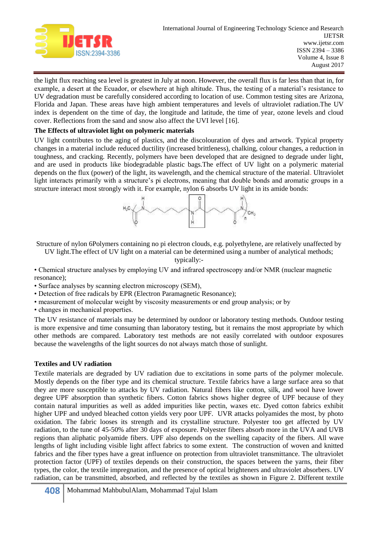

the light flux reaching sea level is greatest in July at noon. However, the overall flux is far less than that in, for example, a desert at the Ecuador, or elsewhere at high altitude. Thus, the testing of a material's resistance to UV degradation must be carefully considered according to location of use. Common testing sites are Arizona, Florida and Japan. These areas have high ambient temperatures and levels of ultraviolet radiation.The UV index is dependent on the time of day, the longitude and latitude, the time of year, ozone levels and cloud cover. Reflections from the sand and snow also affect the UVI level [16].

## **The Effects of ultraviolet light on polymeric materials**

UV light contributes to the aging of plastics, and the discolouration of dyes and artwork. Typical property changes in a material include reduced ductility (increased brittleness), chalking, colour changes, a reduction in toughness, and cracking. Recently, polymers have been developed that are designed to degrade under light, and are used in products like biodegradable plastic bags.The effect of UV light on a polymeric material depends on the flux (power) of the light, its wavelength, and the chemical structure of the material. Ultraviolet light interacts primarily with a structure's pi electrons, meaning that double bonds and aromatic groups in a structure interact most strongly with it. For example, nylon 6 absorbs UV light in its amide bonds:



Structure of nylon 6Polymers containing no pi electron clouds, e.g. polyethylene, are relatively unaffected by

UV light.The effect of UV light on a material can be determined using a number of analytical methods;

typically:-

• Chemical structure analyses by employing UV and infrared spectroscopy and/or NMR (nuclear magnetic resonance);

• Surface analyses by scanning electron microscopy (SEM),

• Detection of free radicals by EPR (Electron Paramagnetic Resonance);

• measurement of molecular weight by viscosity measurements or end group analysis; or by

• changes in mechanical properties.

The UV resistance of materials may be determined by outdoor or laboratory testing methods. Outdoor testing is more expensive and time consuming than laboratory testing, but it remains the most appropriate by which other methods are compared. Laboratory test methods are not easily correlated with outdoor exposures because the wavelengths of the light sources do not always match those of sunlight.

## **Textiles and UV radiation**

Textile materials are degraded by UV radiation due to excitations in some parts of the polymer molecule. Mostly depends on the fiber type and its chemical structure. Textile fabrics have a large surface area so that they are more susceptible to attacks by UV radiation. Natural fibers like cotton, silk, and wool have lower degree UPF absorption than synthetic fibers. Cotton fabrics shows higher degree of UPF because of they contain natural impurities as well as added impurities like pectin, waxes etc. Dyed cotton fabrics exhibit higher UPF and undyed bleached cotton yields very poor UPF. UVR attacks polyamides the most, by photo oxidation. The fabric looses its strength and its crystalline structure. Polyester too get affected by UV radiation, to the tune of 45-50% after 30 days of exposure. Polyester fibers absorb more in the UVA and UVB regions than aliphatic polyamide fibers. UPF also depends on the swelling capacity of the fibers. All wave lengths of light including visible light affect fabrics to some extent. The construction of woven and knitted fabrics and the fiber types have a great influence on protection from ultraviolet transmittance. The ultraviolet protection factor (UPF) of textiles depends on their construction, the spaces between the yarns, their fiber types, the color, the textile impregnation, and the presence of optical brighteners and ultraviolet absorbers. UV radiation, can be transmitted, absorbed, and reflected by the textiles as shown in Figure 2. Different textile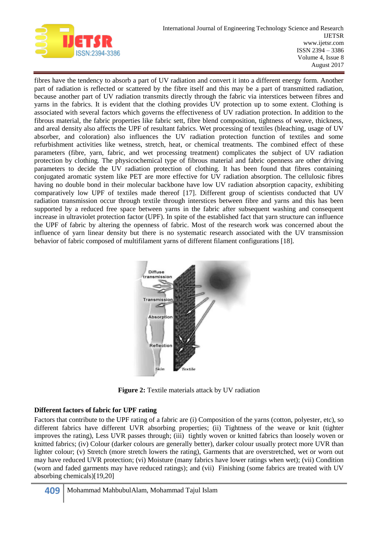

fibres have the tendency to absorb a part of UV radiation and convert it into a different energy form. Another part of radiation is reflected or scattered by the fibre itself and this may be a part of transmitted radiation, because another part of UV radiation transmits directly through the fabric via interstices between fibres and yarns in the fabrics. It is evident that the clothing provides UV protection up to some extent. Clothing is associated with several factors which governs the effectiveness of UV radiation protection. In addition to the fibrous material, the fabric properties like fabric sett, fibre blend composition, tightness of weave, thickness, and areal density also affects the UPF of resultant fabrics. Wet processing of textiles (bleaching, usage of UV absorber, and coloration) also influences the UV radiation protection function of textiles and some refurbishment activities like wetness, stretch, heat, or chemical treatments. The combined effect of these parameters (fibre, yarn, fabric, and wet processing treatment) complicates the subject of UV radiation protection by clothing. The physicochemical type of fibrous material and fabric openness are other driving parameters to decide the UV radiation protection of clothing. It has been found that fibres containing conjugated aromatic system like PET are more effective for UV radiation absorption. The cellulosic fibres having no double bond in their molecular backbone have low UV radiation absorption capacity, exhibiting comparatively low UPF of textiles made thereof [17]. Different group of scientists conducted that UV radiation transmission occur through textile through interstices between fibre and yarns and this has been supported by a reduced free space between yarns in the fabric after subsequent washing and consequent increase in ultraviolet protection factor (UPF). In spite of the established fact that yarn structure can influence the UPF of fabric by altering the openness of fabric. Most of the research work was concerned about the influence of yarn linear density but there is no systematic research associated with the UV transmission behavior of fabric composed of multifilament yarns of different filament configurations [18].



**Figure 2:** Textile materials attack by UV radiation

## **Different factors of fabric for UPF rating**

Factors that contribute to the UPF rating of a fabric are (i) Composition of the yarns (cotton, polyester, etc), so different fabrics have different UVR absorbing properties; (ii) Tightness of the weave or knit (tighter improves the rating), Less UVR passes through; (iii) tightly woven or knitted fabrics than loosely woven or knitted fabrics; (iv) Colour (darker colours are generally better), darker colour usually protect more UVR than lighter colour; (v) Stretch (more stretch lowers the rating), Garments that are overstretched, wet or worn out may have reduced UVR protection; (vi) Moisture (many fabrics have lower ratings when wet); (vii) Condition (worn and faded garments may have reduced ratings); and (vii) Finishing (some fabrics are treated with UV absorbing chemicals)[19,20]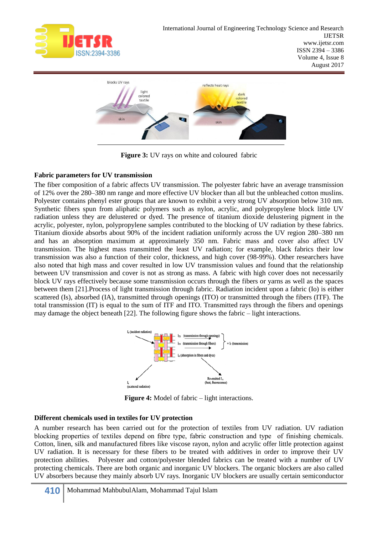



**Figure 3:** UV rays on white and coloured fabric

## **Fabric parameters for UV transmission**

The fiber composition of a fabric affects UV transmission. The polyester fabric have an average transmission of 12% over the 280–380 nm range and more effective UV blocker than all but the unbleached cotton muslins. Polyester contains phenyl ester groups that are known to exhibit a very strong UV absorption below 310 nm. Synthetic fibers spun from aliphatic polymers such as nylon, acrylic, and polypropylene block little UV radiation unless they are delustered or dyed. The presence of titanium dioxide delustering pigment in the acrylic, polyester, nylon, polypropylene samples contributed to the blocking of UV radiation by these fabrics. Titanium dioxide absorbs about 90% of the incident radiation uniformly across the UV region 280–380 nm and has an absorption maximum at approximately 350 nm. Fabric mass and cover also affect UV transmission. The highest mass transmitted the least UV radiation; for example, black fabrics their low transmission was also a function of their color, thickness, and high cover (98-99%). Other researchers have also noted that high mass and cover resulted in low UV transmission values and found that the relationship between UV transmission and cover is not as strong as mass. A fabric with high cover does not necessarily block UV rays effectively because some transmission occurs through the fibers or yarns as well as the spaces between them [21].Process of light transmission through fabric. Radiation incident upon a fabric (Io) is either scattered (Is), absorbed (IA), transmitted through openings (ITO) or transmitted through the fibers (ITF). The total transmission (IT) is equal to the sum of ITF and ITO. Transmitted rays through the fibers and openings may damage the object beneath [22]. The following figure shows the fabric – light interactions.



**Figure 4:** Model of fabric – light interactions.

#### **Different chemicals used in textiles for UV protection**

A number research has been carried out for the protection of textiles from UV radiation. UV radiation blocking properties of textiles depend on fibre type, fabric construction and type of finishing chemicals. Cotton, linen, silk and manufactured fibres like viscose rayon, nylon and acrylic offer little protection against UV radiation. It is necessary for these fibers to be treated with additives in order to improve their UV protection abilities. Polyester and cotton/polyester blended fabrics can be treated with a number of UV protecting chemicals. There are both organic and inorganic UV blockers. The organic blockers are also called UV absorbers because they mainly absorb UV rays. Inorganic UV blockers are usually certain semiconductor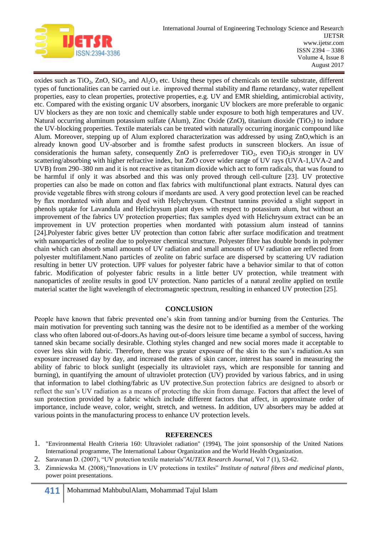

oxides such as  $TiO_2$ ,  $ZnO$ ,  $SiO_2$ , and  $Al_2O_3$  etc. Using these types of chemicals on textile substrate, different types of functionalities can be carried out i.e. improved thermal stability and flame retardancy, water repellent properties, easy to clean properties, protective properties, e.g. UV and EMR shielding, antimicrobial activity, etc. Compared with the existing organic UV absorbers, inorganic UV blockers are more preferable to organic UV blockers as they are non toxic and chemically stable under exposure to both high temperatures and UV. Natural occurring aluminum potassium sulfate (Alum), Zinc Oxide (ZnO), titanium dioxide (TiO<sub>2</sub>) to induce the UV-blocking properties. Textile materials can be treated with naturally occurring inorganic compound like Alum. Moreover, stepping up of Alum explored characterization was addressed by using ZnO,which is an already known good UV-absorber and is fromthe safest products in sunscreen blockers. An issue of considerationis the human safety, consequently ZnO is preferred over  $TiO<sub>2</sub>$ , even  $TiO<sub>2</sub>$  is stronger in UV scattering/absorbing with higher refractive index, but ZnO cover wider range of UV rays (UVA-1,UVA-2 and UVB) from 290–380 nm and it is not reactive as titanium dioxide which act to form radicals, that was found to be harmful if only it was absorbed and this was only proved through cell-culture [23]. UV protective properties can also be made on cotton and flax fabrics with multifunctional plant extracts. Natural dyes can provide vegetable fibres with strong colours if mordants are used. A very good protection level can be reached by flax mordanted with alum and dyed with Helychrysum. Chestnut tannins provided a slight support in phenols uptake for Lavandula and Helichrysum plant dyes with respect to potassium alum, but without an improvement of the fabrics UV protection properties; flax samples dyed with Helichrysum extract can be an improvement in UV protection properties when mordanted with potassium alum instead of tannins [24].Polyester fabric gives better UV protection than cotton fabric after surface modification and treatment with nanoparticles of zeolite due to polyester chemical structure. Polyester fibre has double bonds in polymer chain which can absorb small amounts of UV radiation and small amounts of UV radiation are reflected from polyester multifilament.Nano particles of zeolite on fabric surface are dispersed by scattering UV radiation resulting in better UV protection. UPF values for polyester fabric have a behavior similar to that of cotton fabric. Modification of polyester fabric results in a little better UV protection, while treatment with nanoparticles of zeolite results in good UV protection. Nano particles of a natural zeolite applied on textile material scatter the light wavelength of electromagnetic spectrum, resulting in enhanced UV protection [25].

#### **CONCLUSION**

People have known that fabric prevented one's skin from tanning and/or burning from the Centuries. The main motivation for preventing such tanning was the desire not to be identified as a member of the working class who often labored out-of-doors.As having out-of-doors leisure time became a symbol of success, having tanned skin became socially desirable. Clothing styles changed and new social mores made it acceptable to cover less skin with fabric. Therefore, there was greater exposure of the skin to the sun's radiation.As sun exposure increased day by day, and increased the rates of skin cancer, interest has soared in measuring the ability of fabric to block sunlight (especially its ultraviolet rays, which are responsible for tanning and burning), in quantifying the amount of ultraviolet protection (UV) provided by various fabrics, and in using that information to label clothing/fabric as UV protective.Sun protection fabrics are designed to absorb or reflect the sun's UV radiation as a means of protecting the skin from damage. Factors that affect the level of sun protection provided by a fabric which include different factors that affect, in approximate order of importance, include weave, color, weight, stretch, and wetness. In addition, UV absorbers may be added at various points in the manufacturing process to enhance UV protection levels.

#### **REFERENCES**

- 1. "Environmental Health Criteria 160: Ultraviolet radiation" (1994), The joint sponsorship of the United Nations International programme, The International Labour Organization and the World Health Organization.
- 2. Saravanan D. (2007), "UV protection textile materials" *AUTEX Research Journal*, Vol 7 (1), 53-62.
- 3. Zimniewska M. (2008), "Innovations in UV protections in textiles" *Institute of natural fibres and medicinal plants*, power point presentations.